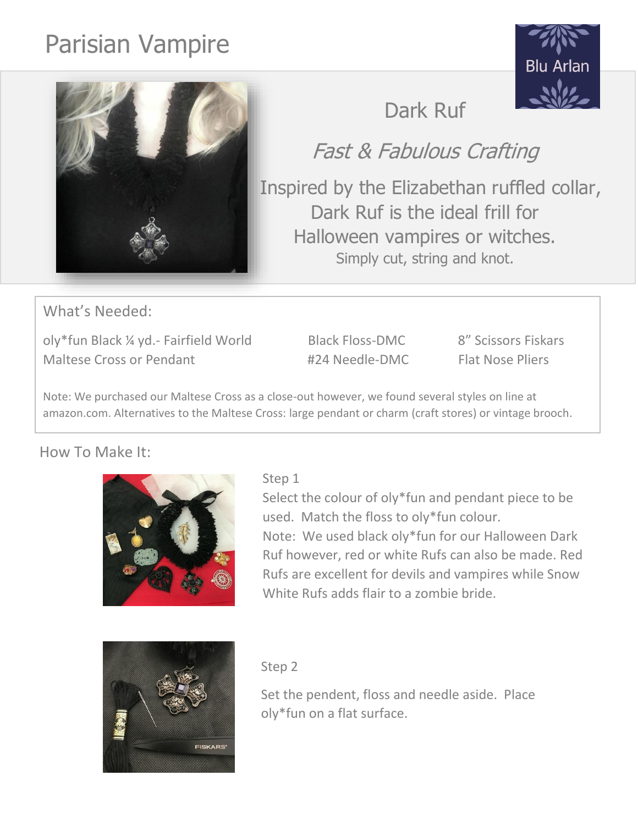# Parisian Vampire





## Fast & Fabulous Crafting

 Inspired by the Elizabethan ruffled collar, Dark Ruf is the ideal frill for Halloween vampires or witches. Simply cut, string and knot.

What's Needed:

oly\*fun Black ¼ yd.- Fairfield World Black Floss-DMC 8" Scissors Fiskars Maltese Cross or Pendant #24 Needle-DMC Flat Nose Pliers

Note: We purchased our Maltese Cross as a close-out however, we found several styles on line at amazon.com. Alternatives to the Maltese Cross: large pendant or charm (craft stores) or vintage brooch.

### How To Make It:



Select the colour of oly\*fun and pendant piece to be used. Match the floss to oly\*fun colour. Note: We used black oly\*fun for our Halloween Dark Ruf however, red or white Rufs can also be made. Red Rufs are excellent for devils and vampires while Snow White Rufs adds flair to a zombie bride.



#### Step 2

Set the pendent, floss and needle aside. Place oly\*fun on a flat surface.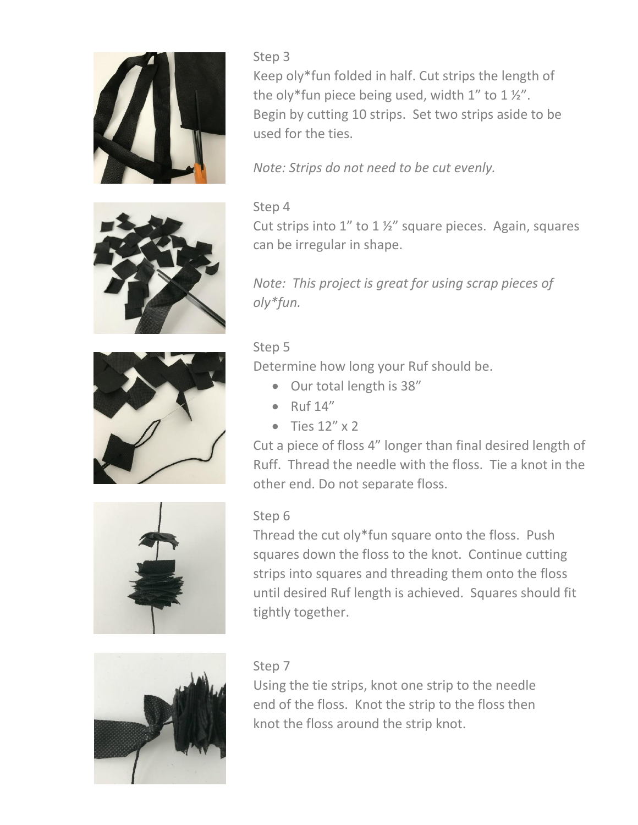

Step 3 Keep oly\*fun folded in half. Cut strips the length of the oly\*fun piece being used, width  $1''$  to  $1\frac{1}{2}''$ . Begin by cutting 10 strips. Set two strips aside to be used for the ties.

*Note: Strips do not need to be cut evenly.* 

#### Step 4

Cut strips into  $1''$  to  $1\frac{1}{2}''$  square pieces. Again, squares can be irregular in shape.

*Note: This project is great for using scrap pieces of oly\*fun.* 

#### Step 5

Determine how long your Ruf should be.

- Our total length is 38"
- $\bullet$  Ruf 14"
- Ties  $12'' \times 2$

Cut a piece of floss 4" longer than final desired length of Ruff. Thread the needle with the floss. Tie a knot in the other end. Do not separate floss.



#### Step 6

Thread the cut oly\*fun square onto the floss. Push squares down the floss to the knot. Continue cutting strips into squares and threading them onto the floss until desired Ruf length is achieved. Squares should fit tightly together.



#### Step 7

Using the tie strips, knot one strip to the needle end of the floss. Knot the strip to the floss then knot the floss around the strip knot.